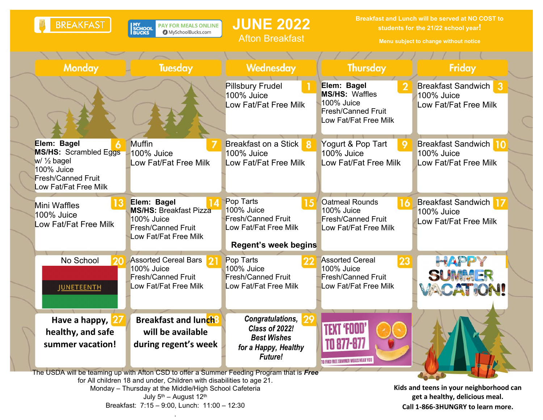|                                                                                                                                                                                                                                                                                                                              | <b>BREAKFAST</b>                                                                                                                          | PAY FOR MEALS ONLINE<br><b>MY<br/>SCHOOL<br/>BUCKS</b><br>MySchoolBucks.com                                      | <b>JUNE 2022</b><br><b>Afton Breakfast</b>                                                                   | Breakfast and Lunch will be served at NO COST to<br>students for the 21/22 school year!<br>Menu subject to change without notice |                                                                                                                |
|------------------------------------------------------------------------------------------------------------------------------------------------------------------------------------------------------------------------------------------------------------------------------------------------------------------------------|-------------------------------------------------------------------------------------------------------------------------------------------|------------------------------------------------------------------------------------------------------------------|--------------------------------------------------------------------------------------------------------------|----------------------------------------------------------------------------------------------------------------------------------|----------------------------------------------------------------------------------------------------------------|
|                                                                                                                                                                                                                                                                                                                              |                                                                                                                                           |                                                                                                                  |                                                                                                              |                                                                                                                                  |                                                                                                                |
|                                                                                                                                                                                                                                                                                                                              | <b>Monday</b>                                                                                                                             | Tuesday                                                                                                          | Wednesday                                                                                                    | <b>Thursday</b>                                                                                                                  | Friday                                                                                                         |
|                                                                                                                                                                                                                                                                                                                              |                                                                                                                                           |                                                                                                                  | <b>Pillsbury Frudel</b><br>100% Juice<br>Low Fat/Fat Free Milk                                               | Elem: Bagel<br><b>MS/HS: Waffles</b><br>100% Juice<br><b>Fresh/Canned Fruit</b><br>Low Fat/Fat Free Milk                         | <b>Breakfast Sandwich</b><br>3<br>100% Juice<br>Low Fat/Fat Free Milk                                          |
|                                                                                                                                                                                                                                                                                                                              | Elem: Bagel<br><b>MS/HS: Scrambled Eggs</b><br>$w/ \frac{1}{2}$ bagel<br>100% Juice<br><b>Fresh/Canned Fruit</b><br>Low Fat/Fat Free Milk | <b>Muffin</b><br>100% Juice<br>Low Fat/Fat Free Milk                                                             | <b>Breakfast on a Stick</b><br>-8<br>100% Juice<br>Low Fat/Fat Free Milk                                     | Yogurt & Pop Tart<br>100% Juice<br>Low Fat/Fat Free Milk                                                                         | <b>Breakfast Sandwich</b><br>10<br>100% Juice<br>Low Fat/Fat Free Milk                                         |
|                                                                                                                                                                                                                                                                                                                              | <b>Mini Waffles</b><br>100% Juice<br>Low Fat/Fat Free Milk                                                                                | Elem: Bagel<br><b>MS/HS: Breakfast Pizza</b><br>100% Juice<br><b>Fresh/Canned Fruit</b><br>Low Fat/Fat Free Milk | Pop Tarts<br>100% Juice<br><b>Fresh/Canned Fruit</b><br>Low Fat/Fat Free Milk<br><b>Regent's week begins</b> | <b>Oatmeal Rounds</b><br>100% Juice<br><b>Fresh/Canned Fruit</b><br>Low Fat/Fat Free Milk                                        | <b>Breakfast Sandwich</b><br>100% Juice<br>Low Fat/Fat Free Milk                                               |
|                                                                                                                                                                                                                                                                                                                              | No School<br><b>JUNETEENTH</b>                                                                                                            | <b>Assorted Cereal Bars</b><br>100% Juice<br><b>Fresh/Canned Fruit</b><br>Low Fat/Fat Free Milk                  | Pop Tarts<br>100% Juice<br><b>Fresh/Canned Fruit</b><br>Low Fat/Fat Free Milk                                | <b>Assorted Cereal</b><br>23<br>100% Juice<br><b>Fresh/Canned Fruit</b><br>Low Fat/Fat Free Milk                                 | HAPPY<br>SUMMER<br>VACATION!                                                                                   |
|                                                                                                                                                                                                                                                                                                                              | Have a happy,<br>healthy, and safe<br>summer vacation!                                                                                    | <b>Breakfast and lunch</b><br>will be available<br>during regent's week                                          | Congratulations,<br><b>Class of 2022!</b><br><b>Best Wishes</b><br>for a Happy, Healthy<br><b>Future!</b>    | TO FIND FREE SUMMER MEALS NEAR YOU                                                                                               |                                                                                                                |
| The USDA will be teaming up with Afton CSD to offer a Summer Feeding Program that is Free<br>for All children 18 and under, Children with disabilities to age 21.<br>Monday - Thursday at the Middle/High School Cafeteria<br>July 5 <sup>th</sup> - August 12 <sup>th</sup><br>Breakfast: 7:15 - 9:00, Lunch: 11:00 - 12:30 |                                                                                                                                           |                                                                                                                  |                                                                                                              |                                                                                                                                  | Kids and teens in your neighborhood can<br>get a healthy, delicious meal.<br>Call 1-866-3HUNGRY to learn more. |

.